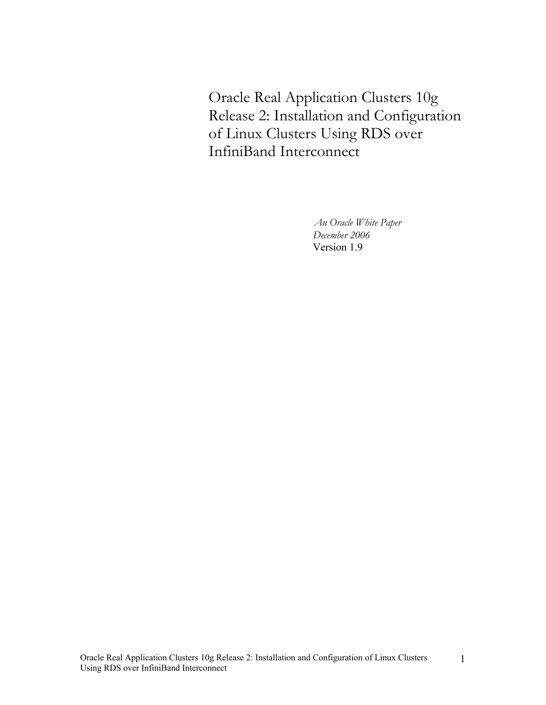Oracle Real Application Clusters 10g Release 2: Installation and Configuration of Linux Clusters Using RDS over InfiniBand Interconnect

> *An Oracle White Paper December 2006*  Version 1.9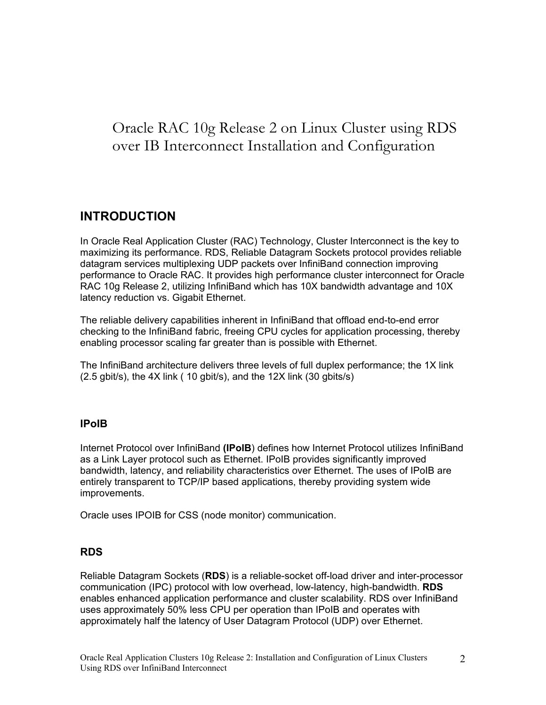# Oracle RAC 10g Release 2 on Linux Cluster using RDS over IB Interconnect Installation and Configuration

# **INTRODUCTION**

In Oracle Real Application Cluster (RAC) Technology, Cluster Interconnect is the key to maximizing its performance. RDS, Reliable Datagram Sockets protocol provides reliable datagram services multiplexing UDP packets over InfiniBand connection improving performance to Oracle RAC. It provides high performance cluster interconnect for Oracle RAC 10g Release 2, utilizing InfiniBand which has 10X bandwidth advantage and 10X latency reduction vs. Gigabit Ethernet.

The reliable delivery capabilities inherent in InfiniBand that offload end-to-end error checking to the InfiniBand fabric, freeing CPU cycles for application processing, thereby enabling processor scaling far greater than is possible with Ethernet.

The InfiniBand architecture delivers three levels of full duplex performance; the 1X link (2.5 gbit/s), the 4X link ( 10 gbit/s), and the 12X link (30 gbits/s)

## **IPoIB**

Internet Protocol over InfiniBand **(IPoIB**) defines how Internet Protocol utilizes InfiniBand as a Link Layer protocol such as Ethernet. IPoIB provides significantly improved bandwidth, latency, and reliability characteristics over Ethernet. The uses of IPoIB are entirely transparent to TCP/IP based applications, thereby providing system wide improvements.

Oracle uses IPOIB for CSS (node monitor) communication.

## **RDS**

Reliable Datagram Sockets (**RDS**) is a reliable-socket off-load driver and inter-processor communication (IPC) protocol with low overhead, low-latency, high-bandwidth. **RDS**  enables enhanced application performance and cluster scalability. RDS over InfiniBand uses approximately 50% less CPU per operation than IPoIB and operates with approximately half the latency of User Datagram Protocol (UDP) over Ethernet.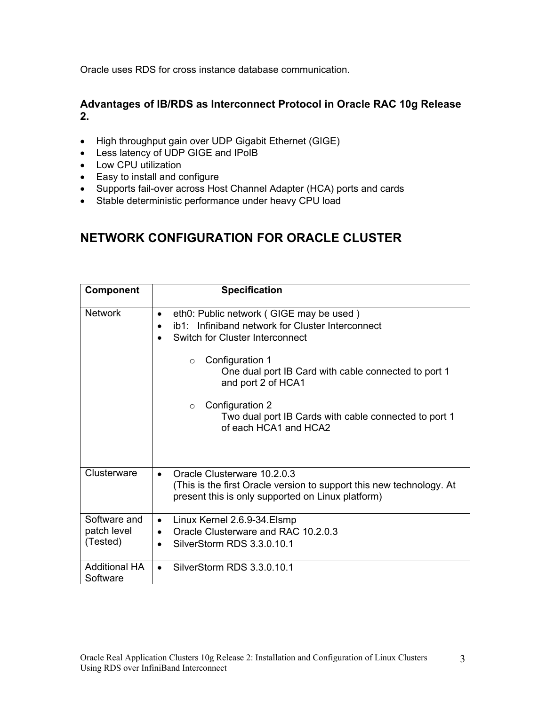Oracle uses RDS for cross instance database communication.

# **Advantages of IB/RDS as Interconnect Protocol in Oracle RAC 10g Release 2.**

- High throughput gain over UDP Gigabit Ethernet (GIGE)
- Less latency of UDP GIGE and IPoIB
- Low CPU utilization
- Easy to install and configure
- Supports fail-over across Host Channel Adapter (HCA) ports and cards
- Stable deterministic performance under heavy CPU load

# **NETWORK CONFIGURATION FOR ORACLE CLUSTER**

| <b>Component</b>                        | <b>Specification</b>                                                                                                                                                                                                                                    |
|-----------------------------------------|---------------------------------------------------------------------------------------------------------------------------------------------------------------------------------------------------------------------------------------------------------|
| <b>Network</b>                          | eth0: Public network (GIGE may be used)<br>$\bullet$<br>ib1: Infiniband network for Cluster Interconnect<br>Switch for Cluster Interconnect<br>Configuration 1<br>$\circ$<br>One dual port IB Card with cable connected to port 1<br>and port 2 of HCA1 |
|                                         | Configuration 2<br>$\circ$<br>Two dual port IB Cards with cable connected to port 1<br>of each HCA1 and HCA2                                                                                                                                            |
| Clusterware                             | Oracle Clusterware 10.2.0.3<br>(This is the first Oracle version to support this new technology. At<br>present this is only supported on Linux platform)                                                                                                |
| Software and<br>patch level<br>(Tested) | Linux Kernel 2.6.9-34. Elsmp<br>$\bullet$<br>Oracle Clusterware and RAC 10.2.0.3<br>$\bullet$<br>SilverStorm RDS 3.3.0.10.1                                                                                                                             |
| <b>Additional HA</b><br>Software        | SilverStorm RDS 3.3.0.10.1                                                                                                                                                                                                                              |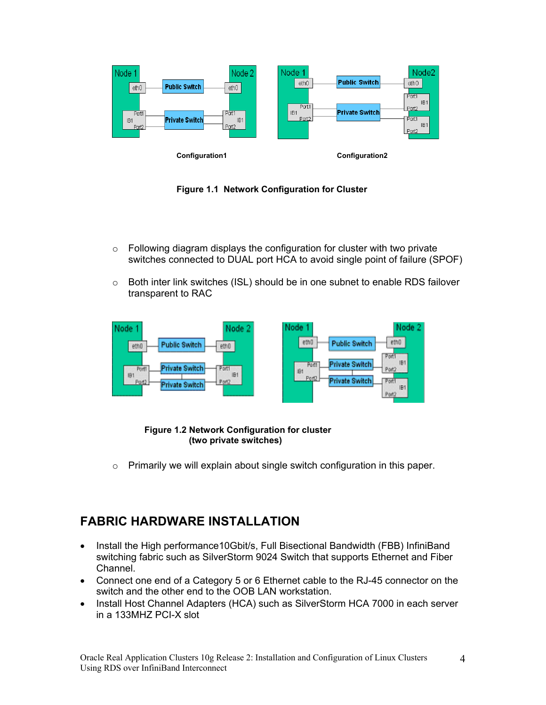



- $\circ$  Following diagram displays the configuration for cluster with two private switches connected to DUAL port HCA to avoid single point of failure (SPOF)
- $\circ$  Both inter link switches (ISL) should be in one subnet to enable RDS failover transparent to RAC



 **Figure 1.2 Network Configuration for cluster (two private switches)** 

o Primarily we will explain about single switch configuration in this paper.

# **FABRIC HARDWARE INSTALLATION**

- Install the High performance10Gbit/s, Full Bisectional Bandwidth (FBB) InfiniBand switching fabric such as SilverStorm 9024 Switch that supports Ethernet and Fiber Channel.
- Connect one end of a Category 5 or 6 Ethernet cable to the RJ-45 connector on the switch and the other end to the OOB LAN workstation.
- Install Host Channel Adapters (HCA) such as SilverStorm HCA 7000 in each server in a 133MHZ PCI-X slot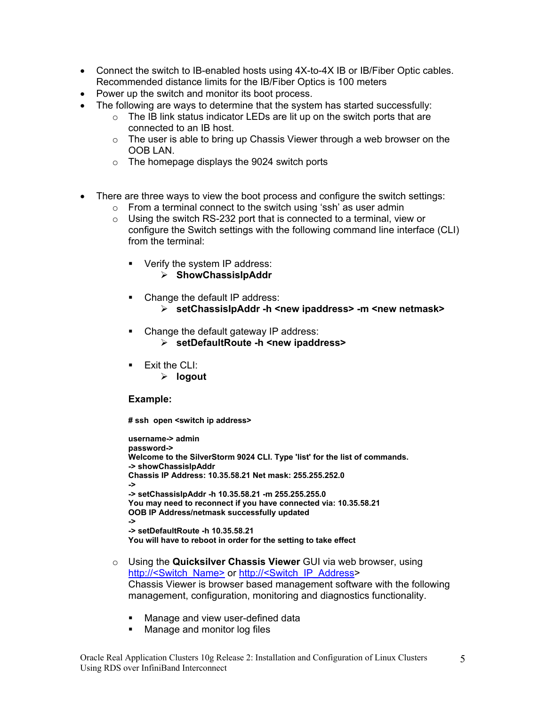- Connect the switch to IB-enabled hosts using 4X-to-4X IB or IB/Fiber Optic cables. Recommended distance limits for the IB/Fiber Optics is 100 meters
- Power up the switch and monitor its boot process.
- The following are ways to determine that the system has started successfully:
	- $\circ$  The IB link status indicator LEDs are lit up on the switch ports that are connected to an IB host.
	- $\circ$  The user is able to bring up Chassis Viewer through a web browser on the OOB LAN.
	- o The homepage displays the 9024 switch ports
- There are three ways to view the boot process and configure the switch settings:
	- $\circ$  From a terminal connect to the switch using 'ssh' as user admin
	- $\circ$  Using the switch RS-232 port that is connected to a terminal, view or configure the Switch settings with the following command line interface (CLI) from the terminal:
		- Verify the system IP address:
			- ¾ **ShowChassisIpAddr**
		- Change the default IP address:
			- ¾ **setChassisIpAddr -h <new ipaddress> -m <new netmask>**
		- Change the default gateway IP address:
			- ¾ **setDefaultRoute -h <new ipaddress>**
		- $\blacksquare$  Exit the CLI:
			- ¾ **logout**

#### **Example:**

**# ssh open <switch ip address>** 

**username-> admin password-> Welcome to the SilverStorm 9024 CLI. Type 'list' for the list of commands. -> showChassisIpAddr Chassis IP Address: 10.35.58.21 Net mask: 255.255.252.0 -> -> setChassisIpAddr -h 10.35.58.21 -m 255.255.255.0 You may need to reconnect if you have connected via: 10.35.58.21 OOB IP Address/netmask successfully updated -> -> setDefaultRoute -h 10.35.58.21 You will have to reboot in order for the setting to take effect**

- o Using the **Quicksilver Chassis Viewer** GUI via web browser, using http://<Switch\_Name> or http://<Switch\_IP\_Address> Chassis Viewer is browser based management software with the following management, configuration, monitoring and diagnostics functionality.
	- **Manage and view user-defined data**
	- Manage and monitor log files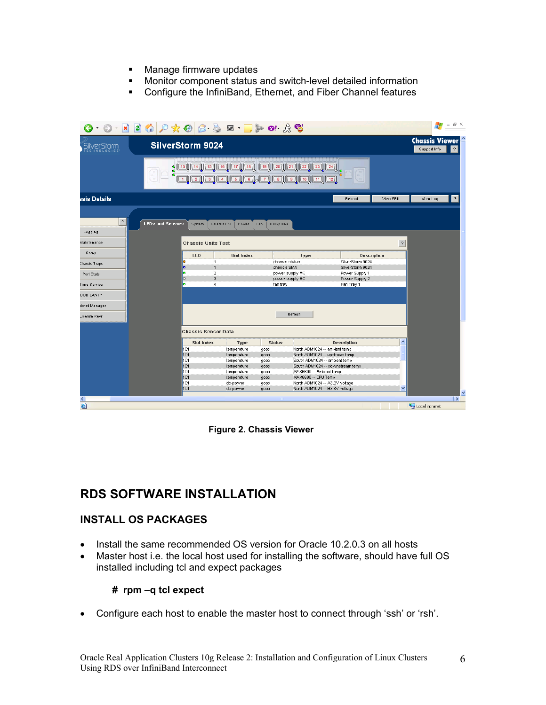- **Manage firmware updates**
- Monitor component status and switch-level detailed information
- Configure the InfiniBand, Ethernet, and Fiber Channel features

| SilverStorm 9024<br>SilverStorm<br>CHNOLOGIES<br>\$ [13] [14] [15] [16] [17] [18] [19] [20] [21] [22] [23] [24]<br>\$ [13] [14] [15] [16] [17] [18] [19] [20] [21] [22] [23] [24]<br>\$ [13] [14] [15] [16] [17] [18]<br>ssis Details<br>?<br><b>LEDs and Sensors</b><br>System<br>Chassis Fru<br>Power<br>Fan<br><b>Backplane</b><br>Logging<br>Maintenance<br><b>Chassis Units Test</b><br>Snmp<br><b>LED</b><br><b>Unit Index</b><br>Type<br>o<br>1<br>chassis status<br><b>Chassis Traps</b><br>۰<br>$\overline{1}$<br>chassis SMA<br>b<br>$\overline{a}$<br>power supply AC<br>Port Stats<br>3<br>Ō<br>power supply AC<br>ь<br>4<br><b>Time Service</b><br>fan tray<br>OOB LAN IP<br>ibnet Manager<br>Refresh<br>License Keys<br>Chassis Sensor Data<br><b>Slot Index</b><br><b>Status</b><br>Type<br>101<br>North ADM1024 -- ambient temp<br>temperature<br>good<br>North ADM1024 -- upstream temp<br>101<br>temperature<br>good | View FRU<br>Reboot<br><b>Description</b><br>SilverStorm 9024<br>SilverStorm 9024<br>Power Supply 1<br>Power Supply 2 | <b>Chassis Viewer</b><br>Support Info<br>?<br>3<br>View Log<br>$\gamma$ |
|----------------------------------------------------------------------------------------------------------------------------------------------------------------------------------------------------------------------------------------------------------------------------------------------------------------------------------------------------------------------------------------------------------------------------------------------------------------------------------------------------------------------------------------------------------------------------------------------------------------------------------------------------------------------------------------------------------------------------------------------------------------------------------------------------------------------------------------------------------------------------------------------------------------------------------------|----------------------------------------------------------------------------------------------------------------------|-------------------------------------------------------------------------|
|                                                                                                                                                                                                                                                                                                                                                                                                                                                                                                                                                                                                                                                                                                                                                                                                                                                                                                                                        |                                                                                                                      |                                                                         |
|                                                                                                                                                                                                                                                                                                                                                                                                                                                                                                                                                                                                                                                                                                                                                                                                                                                                                                                                        |                                                                                                                      |                                                                         |
|                                                                                                                                                                                                                                                                                                                                                                                                                                                                                                                                                                                                                                                                                                                                                                                                                                                                                                                                        |                                                                                                                      |                                                                         |
|                                                                                                                                                                                                                                                                                                                                                                                                                                                                                                                                                                                                                                                                                                                                                                                                                                                                                                                                        |                                                                                                                      |                                                                         |
|                                                                                                                                                                                                                                                                                                                                                                                                                                                                                                                                                                                                                                                                                                                                                                                                                                                                                                                                        |                                                                                                                      |                                                                         |
|                                                                                                                                                                                                                                                                                                                                                                                                                                                                                                                                                                                                                                                                                                                                                                                                                                                                                                                                        |                                                                                                                      |                                                                         |
|                                                                                                                                                                                                                                                                                                                                                                                                                                                                                                                                                                                                                                                                                                                                                                                                                                                                                                                                        |                                                                                                                      |                                                                         |
|                                                                                                                                                                                                                                                                                                                                                                                                                                                                                                                                                                                                                                                                                                                                                                                                                                                                                                                                        |                                                                                                                      |                                                                         |
|                                                                                                                                                                                                                                                                                                                                                                                                                                                                                                                                                                                                                                                                                                                                                                                                                                                                                                                                        |                                                                                                                      |                                                                         |
|                                                                                                                                                                                                                                                                                                                                                                                                                                                                                                                                                                                                                                                                                                                                                                                                                                                                                                                                        |                                                                                                                      |                                                                         |
|                                                                                                                                                                                                                                                                                                                                                                                                                                                                                                                                                                                                                                                                                                                                                                                                                                                                                                                                        |                                                                                                                      |                                                                         |
|                                                                                                                                                                                                                                                                                                                                                                                                                                                                                                                                                                                                                                                                                                                                                                                                                                                                                                                                        |                                                                                                                      |                                                                         |
|                                                                                                                                                                                                                                                                                                                                                                                                                                                                                                                                                                                                                                                                                                                                                                                                                                                                                                                                        | Fan Tray 1                                                                                                           |                                                                         |
|                                                                                                                                                                                                                                                                                                                                                                                                                                                                                                                                                                                                                                                                                                                                                                                                                                                                                                                                        |                                                                                                                      |                                                                         |
|                                                                                                                                                                                                                                                                                                                                                                                                                                                                                                                                                                                                                                                                                                                                                                                                                                                                                                                                        |                                                                                                                      |                                                                         |
|                                                                                                                                                                                                                                                                                                                                                                                                                                                                                                                                                                                                                                                                                                                                                                                                                                                                                                                                        |                                                                                                                      |                                                                         |
|                                                                                                                                                                                                                                                                                                                                                                                                                                                                                                                                                                                                                                                                                                                                                                                                                                                                                                                                        |                                                                                                                      |                                                                         |
|                                                                                                                                                                                                                                                                                                                                                                                                                                                                                                                                                                                                                                                                                                                                                                                                                                                                                                                                        | <b>Description</b>                                                                                                   | $\blacktriangle$                                                        |
|                                                                                                                                                                                                                                                                                                                                                                                                                                                                                                                                                                                                                                                                                                                                                                                                                                                                                                                                        |                                                                                                                      |                                                                         |
|                                                                                                                                                                                                                                                                                                                                                                                                                                                                                                                                                                                                                                                                                                                                                                                                                                                                                                                                        |                                                                                                                      |                                                                         |
| 101<br>South ADM1024 -- ambient temp<br>temperature<br>good                                                                                                                                                                                                                                                                                                                                                                                                                                                                                                                                                                                                                                                                                                                                                                                                                                                                            |                                                                                                                      |                                                                         |
| 101<br>temperature<br>good                                                                                                                                                                                                                                                                                                                                                                                                                                                                                                                                                                                                                                                                                                                                                                                                                                                                                                             | South ADM1024 -- downstream temp                                                                                     |                                                                         |
| 101<br>MAX6690 -- Ambient temp<br>temperature<br>good                                                                                                                                                                                                                                                                                                                                                                                                                                                                                                                                                                                                                                                                                                                                                                                                                                                                                  |                                                                                                                      |                                                                         |
| 101<br>temperature<br>MAX6690 -- CPU Temp<br>good<br>101                                                                                                                                                                                                                                                                                                                                                                                                                                                                                                                                                                                                                                                                                                                                                                                                                                                                               |                                                                                                                      |                                                                         |
| North ADM1024 -- A3.3V voltage<br>dc-power<br>good<br>101<br>dc-power<br>good                                                                                                                                                                                                                                                                                                                                                                                                                                                                                                                                                                                                                                                                                                                                                                                                                                                          |                                                                                                                      |                                                                         |
|                                                                                                                                                                                                                                                                                                                                                                                                                                                                                                                                                                                                                                                                                                                                                                                                                                                                                                                                        |                                                                                                                      |                                                                         |
|                                                                                                                                                                                                                                                                                                                                                                                                                                                                                                                                                                                                                                                                                                                                                                                                                                                                                                                                        | North ADM1024 -- B3.3V voltage                                                                                       | ×                                                                       |

**Figure 2. Chassis Viewer** 

# **RDS SOFTWARE INSTALLATION**

# **INSTALL OS PACKAGES**

- Install the same recommended OS version for Oracle 10.2.0.3 on all hosts
- Master host i.e. the local host used for installing the software, should have full OS installed including tcl and expect packages

## **# rpm –q tcl expect**

• Configure each host to enable the master host to connect through 'ssh' or 'rsh'.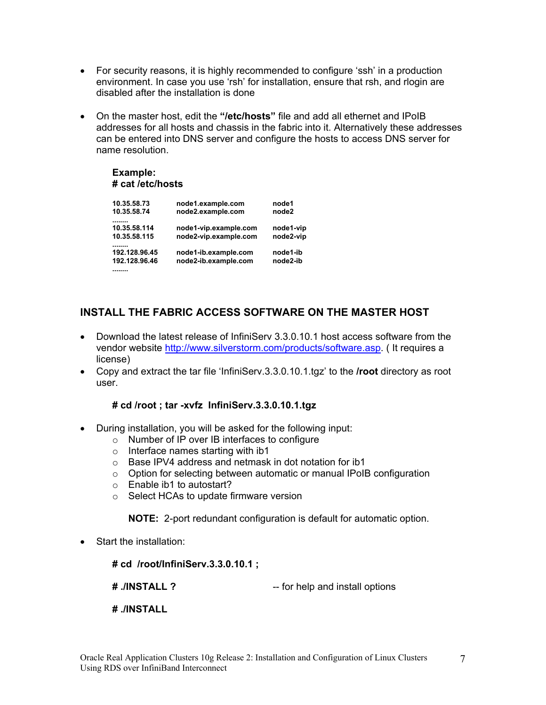- For security reasons, it is highly recommended to configure 'ssh' in a production environment. In case you use 'rsh' for installation, ensure that rsh, and rlogin are disabled after the installation is done
- On the master host, edit the **"/etc/hosts"** file and add all ethernet and IPoIB addresses for all hosts and chassis in the fabric into it. Alternatively these addresses can be entered into DNS server and configure the hosts to access DNS server for name resolution.

## **Example: # cat /etc/hosts**

| 10.35.58.73   | node1.example.com     | node1     |
|---------------|-----------------------|-----------|
| 10.35.58.74   | node2.example.com     | node2     |
| 10.35.58.114  | node1-vip.example.com | node1-vip |
|               |                       |           |
| 10.35.58.115  | node2-vip.example.com | node2-vip |
|               |                       |           |
| 192.128.96.45 | node1-ib.example.com  | node1-ib  |
| 192.128.96.46 | node2-ib.example.com  | node2-ib  |
|               |                       |           |

# **INSTALL THE FABRIC ACCESS SOFTWARE ON THE MASTER HOST**

- Download the latest release of InfiniServ 3.3.0.10.1 host access software from the vendor website http://www.silverstorm.com/products/software.asp. ( It requires a license)
- Copy and extract the tar file 'InfiniServ.3.3.0.10.1.tgz' to the **/root** directory as root user.

## **# cd /root ; tar -xvfz InfiniServ.3.3.0.10.1.tgz**

- During installation, you will be asked for the following input:
	- o Number of IP over IB interfaces to configure
	- o Interface names starting with ib1
	- o Base IPV4 address and netmask in dot notation for ib1
	- o Option for selecting between automatic or manual IPoIB configuration
	- o Enable ib1 to autostart?
	- o Select HCAs to update firmware version

**NOTE:** 2-port redundant configuration is default for automatic option.

• Start the installation:

**# cd /root/InfiniServ.3.3.0.10.1 ;** 

- **# ./INSTALL ?** -- for help and install options
- **# ./INSTALL**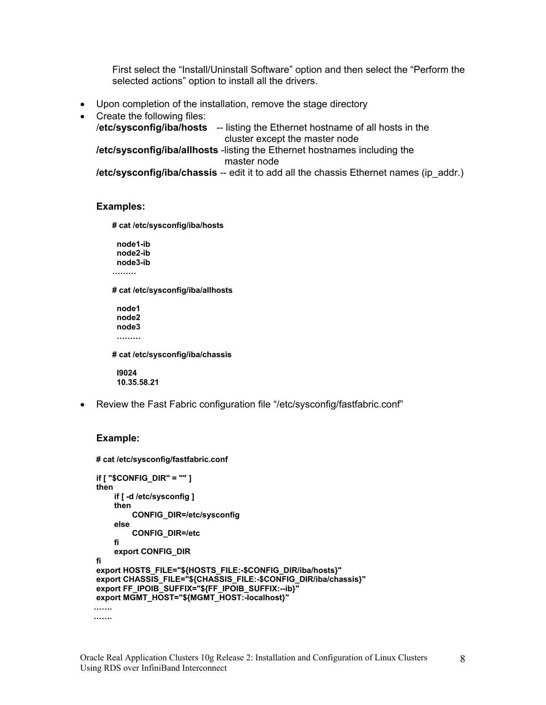First select the "Install/Uninstall Software" option and then select the "Perform the selected actions" option to install all the drivers.

- Upon completion of the installation, remove the stage directory
- Create the following files: /**etc/sysconfig/iba/hosts** -- listing the Ethernet hostname of all hosts in the cluster except the master node **/etc/sysconfig/iba/allhosts** -listing the Ethernet hostnames including the master node **/etc/sysconfig/iba/chassis** -- edit it to add all the chassis Ethernet names (ip\_addr.)

#### **Examples:**

**# cat /etc/sysconfig/iba/hosts** 

 **node1-ib node2-ib node3-ib ………** 

**# cat /etc/sysconfig/iba/allhosts** 

 **node1 node2 node3 ………** 

**# cat /etc/sysconfig/iba/chassis** 

 **I9024 10.35.58.21** 

• Review the Fast Fabric configuration file "/etc/sysconfig/fastfabric.conf"

#### **Example:**

```
# cat /etc/sysconfig/fastfabric.conf 
if [ "$CONFIG_DIR" = "" ] 
then 
      if [ -d /etc/sysconfig ] 
      then 
           CONFIG_DIR=/etc/sysconfig 
      else 
          CONFIG_DIR=/etc 
      fi 
      export CONFIG_DIR 
fi 
export HOSTS_FILE="${HOSTS_FILE:-$CONFIG_DIR/iba/hosts}" 
export CHASSIS_FILE="${CHASSIS_FILE:-$CONFIG_DIR/iba/chassis}" 
export FF_IPOIB_SUFFIX="${FF_IPOIB_SUFFIX:--ib}" 
export MGMT_HOST="${MGMT_HOST:-localhost}" 
 ……. 
 …….
```
8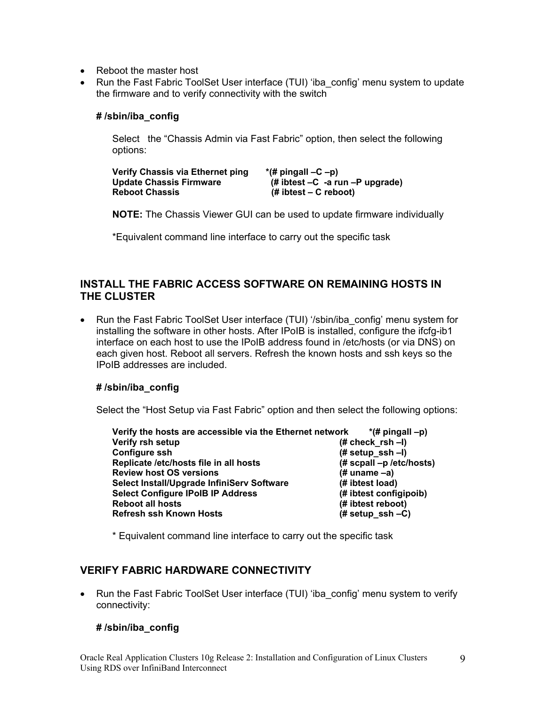- Reboot the master host
- Run the Fast Fabric ToolSet User interface (TUI) 'iba config' menu system to update the firmware and to verify connectivity with the switch

### **# /sbin/iba\_config**

Select the "Chassis Admin via Fast Fabric" option, then select the following options:

**Verify Chassis via Ethernet ping \*(# pingall –C –p) Update Chassis Firmware (# ibtest –C -a run –P upgrade) (# ibtest – C reboot)** 

**NOTE:** The Chassis Viewer GUI can be used to update firmware individually

\*Equivalent command line interface to carry out the specific task

## **INSTALL THE FABRIC ACCESS SOFTWARE ON REMAINING HOSTS IN THE CLUSTER**

• Run the Fast Fabric ToolSet User interface (TUI) '/sbin/iba\_config' menu system for installing the software in other hosts. After IPoIB is installed, configure the ifcfg-ib1 interface on each host to use the IPoIB address found in /etc/hosts (or via DNS) on each given host. Reboot all servers. Refresh the known hosts and ssh keys so the IPoIB addresses are included.

#### **# /sbin/iba\_config**

Select the "Host Setup via Fast Fabric" option and then select the following options:

| Verify the hosts are accessible via the Ethernet network | $*(\#$ pingall $-p)$        |
|----------------------------------------------------------|-----------------------------|
| Verify rsh setup                                         | $# check$ _rsh -I)          |
| Configure ssh                                            | $# setup$ _ssh -I)          |
| Replicate /etc/hosts file in all hosts                   | $#$ scpall $-p$ /etc/hosts) |
| <b>Review host OS versions</b>                           | $#$ uname $-a)$             |
| Select Install/Upgrade InfiniServ Software               | (# ibtest load)             |
| <b>Select Configure IPoIB IP Address</b>                 | (# ibtest configipoib)      |
| <b>Reboot all hosts</b>                                  | (# ibtest reboot)           |
| Refresh ssh Known Hosts                                  | $# setup$ _ssh -C)          |

\* Equivalent command line interface to carry out the specific task

## **VERIFY FABRIC HARDWARE CONNECTIVITY**

• Run the Fast Fabric ToolSet User interface (TUI) 'iba config' menu system to verify connectivity:

## **# /sbin/iba\_config**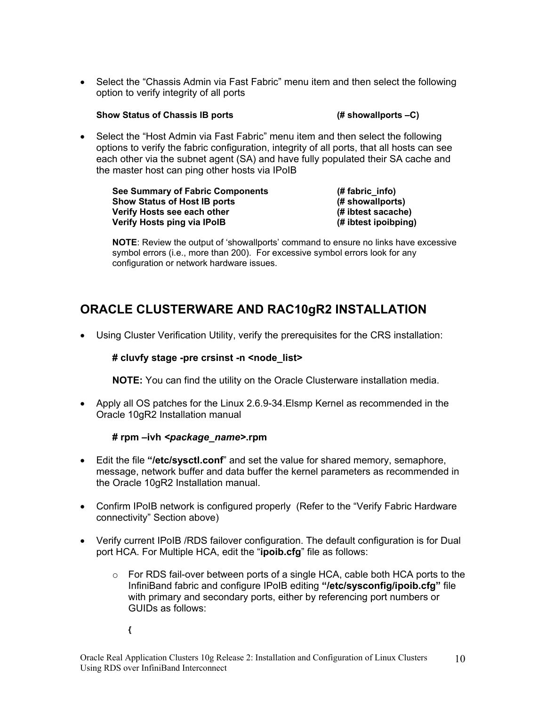• Select the "Chassis Admin via Fast Fabric" menu item and then select the following option to verify integrity of all ports

#### **Show Status of Chassis IB ports (# showallports –C)**

• Select the "Host Admin via Fast Fabric" menu item and then select the following options to verify the fabric configuration, integrity of all ports, that all hosts can see each other via the subnet agent (SA) and have fully populated their SA cache and the master host can ping other hosts via IPoIB

| See Summary of Fabric Components    | $#$ fabric info)     |
|-------------------------------------|----------------------|
| <b>Show Status of Host IB ports</b> | (# showallports)     |
| Verify Hosts see each other         | (# ibtest sacache)   |
| Verify Hosts ping via IPolB         | (# ibtest ipoibping) |

**NOTE**: Review the output of 'showallports' command to ensure no links have excessive symbol errors (i.e., more than 200). For excessive symbol errors look for any configuration or network hardware issues.

# **ORACLE CLUSTERWARE AND RAC10gR2 INSTALLATION**

• Using Cluster Verification Utility, verify the prerequisites for the CRS installation:

## **# cluvfy stage -pre crsinst -n <node\_list>**

**NOTE:** You can find the utility on the Oracle Clusterware installation media.

• Apply all OS patches for the Linux 2.6.9-34.Elsmp Kernel as recommended in the Oracle 10gR2 Installation manual

## **# rpm –ivh** *<package\_name>***.rpm**

- Edit the file **"/etc/sysctl.conf**" and set the value for shared memory, semaphore, message, network buffer and data buffer the kernel parameters as recommended in the Oracle 10gR2 Installation manual.
- Confirm IPoIB network is configured properly (Refer to the "Verify Fabric Hardware connectivity" Section above)
- Verify current IPoIB /RDS failover configuration. The default configuration is for Dual port HCA. For Multiple HCA, edit the "**ipoib.cfg**" file as follows:
	- $\circ$  For RDS fail-over between ports of a single HCA, cable both HCA ports to the InfiniBand fabric and configure IPoIB editing **"/etc/sysconfig/ipoib.cfg"** file with primary and secondary ports, either by referencing port numbers or GUIDs as follows:

**{**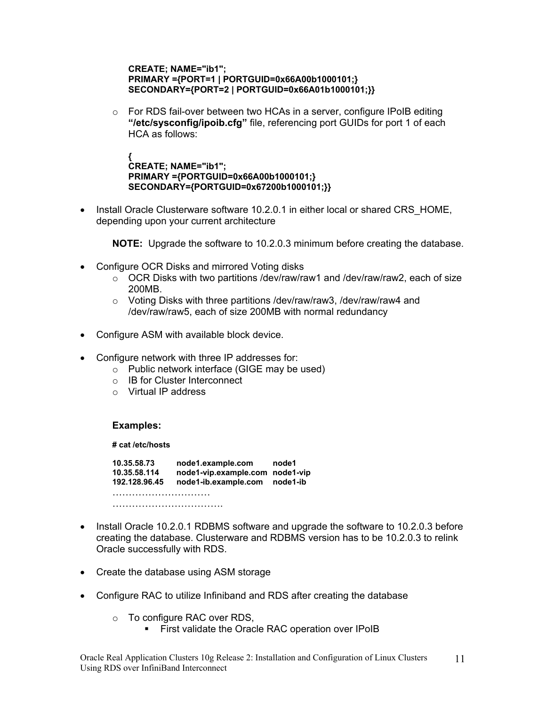#### **CREATE; NAME="ib1"; PRIMARY ={PORT=1 | PORTGUID=0x66A00b1000101;} SECONDARY={PORT=2 | PORTGUID=0x66A01b1000101;}}**

o For RDS fail-over between two HCAs in a server, configure IPoIB editing **"/etc/sysconfig/ipoib.cfg"** file, referencing port GUIDs for port 1 of each HCA as follows:

**{ CREATE; NAME="ib1"; PRIMARY ={PORTGUID=0x66A00b1000101;} SECONDARY={PORTGUID=0x67200b1000101;}}**

• Install Oracle Clusterware software 10.2.0.1 in either local or shared CRS\_HOME, depending upon your current architecture

**NOTE:** Upgrade the software to 10.2.0.3 minimum before creating the database.

- Configure OCR Disks and mirrored Voting disks
	- $\circ$  OCR Disks with two partitions /dev/raw/raw1 and /dev/raw/raw2, each of size 200MB.
	- o Voting Disks with three partitions /dev/raw/raw3, /dev/raw/raw4 and /dev/raw/raw5, each of size 200MB with normal redundancy
- Configure ASM with available block device.
- Configure network with three IP addresses for:
	- o Public network interface (GIGE may be used)
	- o IB for Cluster Interconnect
	- o Virtual IP address

## **Examples:**

#### **# cat /etc/hosts**

**10.35.58.73 node1.example.com node1 10.35.58.114 node1-vip.example.com node1-vip 192.128.96.45 node1-ib.example.com node1-ib**  ………………………………… ………………………………………

- Install Oracle 10.2.0.1 RDBMS software and upgrade the software to 10.2.0.3 before creating the database. Clusterware and RDBMS version has to be 10.2.0.3 to relink Oracle successfully with RDS.
- Create the database using ASM storage
- Configure RAC to utilize Infiniband and RDS after creating the database
	- o To configure RAC over RDS,
		- **First validate the Oracle RAC operation over IPoIB**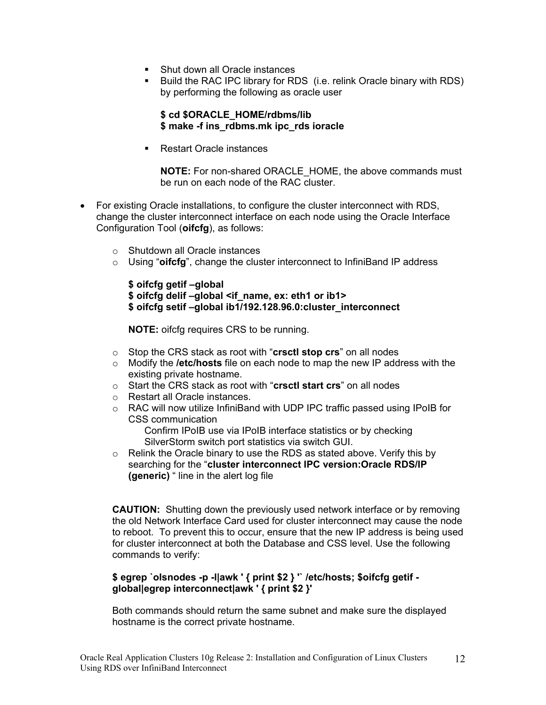- Shut down all Oracle instances
- Build the RAC IPC library for RDS (i.e. relink Oracle binary with RDS) by performing the following as oracle user

### **\$ cd \$ORACLE\_HOME/rdbms/lib \$ make -f ins\_rdbms.mk ipc\_rds ioracle**

■ Restart Oracle instances

**NOTE:** For non-shared ORACLE\_HOME, the above commands must be run on each node of the RAC cluster.

- For existing Oracle installations, to configure the cluster interconnect with RDS, change the cluster interconnect interface on each node using the Oracle Interface Configuration Tool (**oifcfg**), as follows:
	- o Shutdown all Oracle instances
	- o Using "**oifcfg**", change the cluster interconnect to InfiniBand IP address

**\$ oifcfg getif –global \$ oifcfg delif –global <if\_name, ex: eth1 or ib1> \$ oifcfg setif –global ib1/192.128.96.0:cluster\_interconnect**

**NOTE:** oifcfg requires CRS to be running.

- o Stop the CRS stack as root with "**crsctl stop crs**" on all nodes
- o Modify the **/etc/hosts** file on each node to map the new IP address with the existing private hostname.
- o Start the CRS stack as root with "**crsctl start crs**" on all nodes
- o Restart all Oracle instances.
- $\circ$  RAC will now utilize InfiniBand with UDP IPC traffic passed using IPoIB for CSS communication

Confirm IPoIB use via IPoIB interface statistics or by checking SilverStorm switch port statistics via switch GUI.

o Relink the Oracle binary to use the RDS as stated above. Verify this by searching for the "**cluster interconnect IPC version:Oracle RDS/IP (generic)** " line in the alert log file

**CAUTION:** Shutting down the previously used network interface or by removing the old Network Interface Card used for cluster interconnect may cause the node to reboot. To prevent this to occur, ensure that the new IP address is being used for cluster interconnect at both the Database and CSS level. Use the following commands to verify:

### **\$ egrep `olsnodes -p -l|awk ' { print \$2 } '` /etc/hosts; \$oifcfg getif global|egrep interconnect|awk ' { print \$2 }'**

Both commands should return the same subnet and make sure the displayed hostname is the correct private hostname.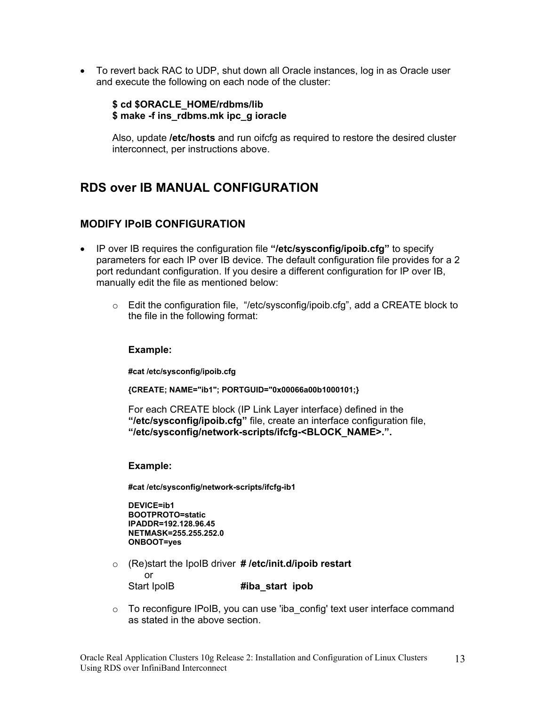• To revert back RAC to UDP, shut down all Oracle instances, log in as Oracle user and execute the following on each node of the cluster:

## **\$ cd \$ORACLE\_HOME/rdbms/lib \$ make -f ins\_rdbms.mk ipc\_g ioracle**

Also, update **/etc/hosts** and run oifcfg as required to restore the desired cluster interconnect, per instructions above.

# **RDS over IB MANUAL CONFIGURATION**

## **MODIFY IPoIB CONFIGURATION**

- IP over IB requires the configuration file **"/etc/sysconfig/ipoib.cfg"** to specify parameters for each IP over IB device. The default configuration file provides for a 2 port redundant configuration. If you desire a different configuration for IP over IB, manually edit the file as mentioned below:
	- $\circ$  Edit the configuration file, "/etc/sysconfig/ipoib.cfg", add a CREATE block to the file in the following format:

#### **Example:**

**#cat /etc/sysconfig/ipoib.cfg** 

**{CREATE; NAME="ib1"; PORTGUID="0x00066a00b1000101;}** 

For each CREATE block (IP Link Layer interface) defined in the **"/etc/sysconfig/ipoib.cfg"** file, create an interface configuration file, **"/etc/sysconfig/network-scripts/ifcfg-<BLOCK\_NAME>.".** 

#### **Example:**

 **#cat /etc/sysconfig/network-scripts/ifcfg-ib1** 

**DEVICE=ib1 BOOTPROTO=static IPADDR=192.128.96.45 NETMASK=255.255.252.0 ONBOOT=yes** 

- o (Re)start the IpoIB driver **# /etc/init.d/ipoib restart**  or Start IpoIB **#iba\_start ipob**
- o To reconfigure IPoIB, you can use 'iba\_config' text user interface command as stated in the above section.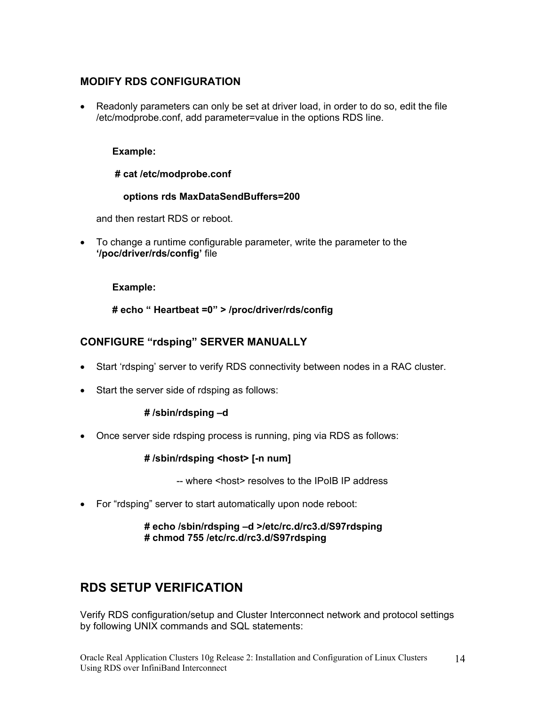# **MODIFY RDS CONFIGURATION**

• Readonly parameters can only be set at driver load, in order to do so, edit the file /etc/modprobe.conf, add parameter=value in the options RDS line.

## **Example:**

## **# cat /etc/modprobe.conf**

## **options rds MaxDataSendBuffers=200**

and then restart RDS or reboot.

• To change a runtime configurable parameter, write the parameter to the **'/poc/driver/rds/config'** file

### **Example:**

**# echo " Heartbeat =0" > /proc/driver/rds/config** 

# **CONFIGURE "rdsping" SERVER MANUALLY**

- Start 'rdsping' server to verify RDS connectivity between nodes in a RAC cluster.
- Start the server side of rdsping as follows:

## **# /sbin/rdsping –d**

• Once server side rdsping process is running, ping via RDS as follows:

## **# /sbin/rdsping <host> [-n num]**

-- where <host> resolves to the IPoIB IP address

• For "rdsping" server to start automatically upon node reboot:

## **# echo /sbin/rdsping –d >/etc/rc.d/rc3.d/S97rdsping # chmod 755 /etc/rc.d/rc3.d/S97rdsping**

# **RDS SETUP VERIFICATION**

Verify RDS configuration/setup and Cluster Interconnect network and protocol settings by following UNIX commands and SQL statements: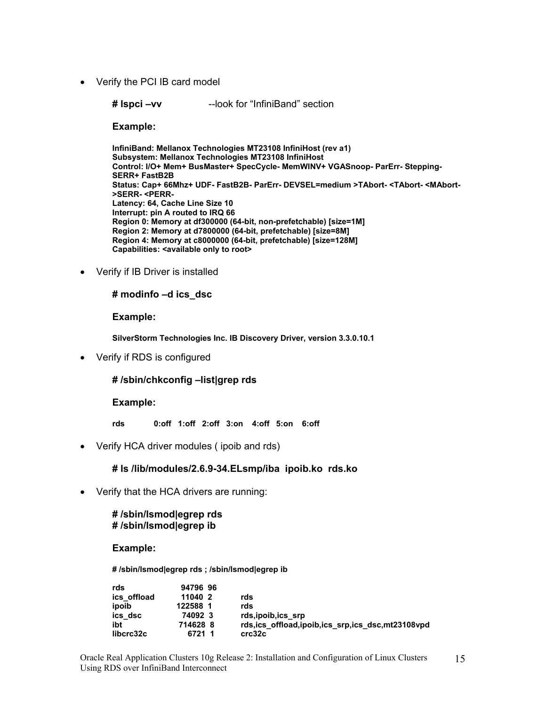• Verify the PCI IB card model

**# lspci –vv** --look for "InfiniBand" section

**Example:** 

**InfiniBand: Mellanox Technologies MT23108 InfiniHost (rev a1) Subsystem: Mellanox Technologies MT23108 InfiniHost Control: I/O+ Mem+ BusMaster+ SpecCycle- MemWINV+ VGASnoop- ParErr- Stepping-SERR+ FastB2B Status: Cap+ 66Mhz+ UDF- FastB2B- ParErr- DEVSEL=medium >TAbort- <TAbort- <MAbort- >SERR- <PERR-Latency: 64, Cache Line Size 10 Interrupt: pin A routed to IRQ 66 Region 0: Memory at df300000 (64-bit, non-prefetchable) [size=1M] Region 2: Memory at d7800000 (64-bit, prefetchable) [size=8M] Region 4: Memory at c8000000 (64-bit, prefetchable) [size=128M] Capabilities: <available only to root>**

• Verify if IB Driver is installed

#### **# modinfo –d ics\_dsc**

**Example:** 

**SilverStorm Technologies Inc. IB Discovery Driver, version 3.3.0.10.1**

• Verify if RDS is configured

### **# /sbin/chkconfig –list|grep rds**

#### **Example:**

- **rds 0:off 1:off 2:off 3:on 4:off 5:on 6:off**
- Verify HCA driver modules ( ipoib and rds)

## **# ls /lib/modules/2.6.9-34.ELsmp/iba ipoib.ko rds.ko**

• Verify that the HCA drivers are running:

### **# /sbin/lsmod|egrep rds # /sbin/lsmod|egrep ib**

#### **Example:**

**# /sbin/lsmod|egrep rds ; /sbin/lsmod|egrep ib** 

| rds         | 94796 96 |                                                  |
|-------------|----------|--------------------------------------------------|
| ics offload | 11040 2  | rds                                              |
| ipoib       | 122588 1 | rds                                              |
| ics dsc     | 74092 3  | rds, ipoib, ics srp                              |
| ibt         | 714628 8 | rds,ics_offload,ipoib,ics_srp,ics_dsc,mt23108vpd |
| libcrc32c   | 6721 1   | crc32c                                           |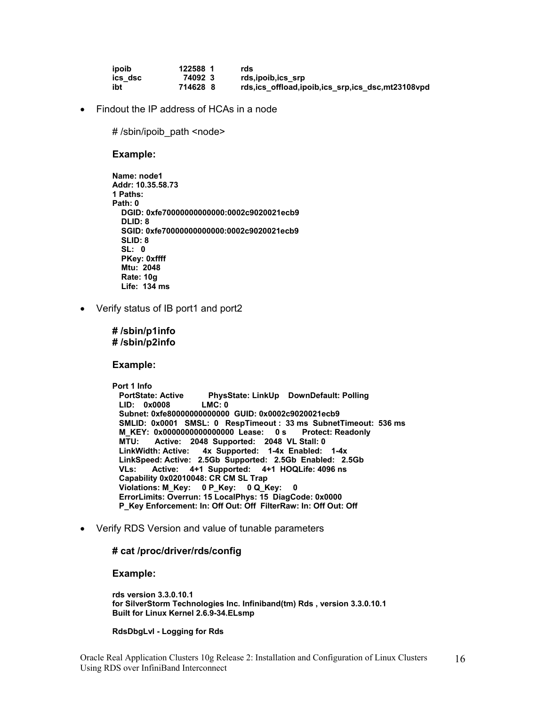| ipoib   | 122588 1 | rds                                                   |
|---------|----------|-------------------------------------------------------|
| ics dsc | 740923   | rds, ipoib, ics srp                                   |
| ibt     | 714628 8 | rds, ics offload, ipoib, ics srp, ics dsc, mt23108vpd |

• Findout the IP address of HCAs in a node

# /sbin/ipoib\_path <node>

#### **Example:**

- **Name: node1 Addr: 10.35.58.73 1 Paths: Path: 0 DGID: 0xfe70000000000000:0002c9020021ecb9 DLID: 8 SGID: 0xfe70000000000000:0002c9020021ecb9 SLID: 8 SL: 0 PKey: 0xffff Mtu: 2048 Rate: 10g Life: 134 ms**
- Verify status of IB port1 and port2

**# /sbin/p1info # /sbin/p2info**

**Example:** 

**Port 1 Info PhysState: LinkUp DownDefault: Polling LID: 0x0008 LMC: 0 Subnet: 0xfe80000000000000 GUID: 0x0002c9020021ecb9 SMLID: 0x0001 SMSL: 0 RespTimeout : 33 ms SubnetTimeout: 536 ms M\_KEY: 0x0000000000000000 Lease: 0 s Protect: Readonly MTU: Active: 2048 Supported: 2048 VL Stall: 0 LinkWidth: Active: 4x Supported: 1-4x Enabled: 1-4x LinkSpeed: Active: 2.5Gb Supported: 2.5Gb Enabled: 2.5Gb VLs: Active: 4+1 Supported: 4+1 HOQLife: 4096 ns Capability 0x02010048: CR CM SL Trap Violations: M\_Key: 0 P\_Key: 0 Q\_Key: 0 ErrorLimits: Overrun: 15 LocalPhys: 15 DiagCode: 0x0000 P\_Key Enforcement: In: Off Out: Off FilterRaw: In: Off Out: Off**

• Verify RDS Version and value of tunable parameters

#### **# cat /proc/driver/rds/config**

**Example:** 

**rds version 3.3.0.10.1 for SilverStorm Technologies Inc. Infiniband(tm) Rds , version 3.3.0.10.1 Built for Linux Kernel 2.6.9-34.ELsmp** 

#### **RdsDbgLvl - Logging for Rds**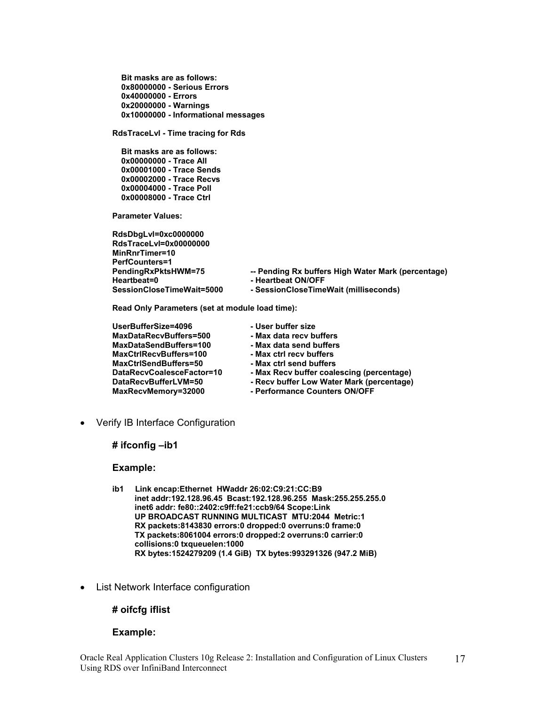**Bit masks are as follows: 0x80000000 - Serious Errors 0x40000000 - Errors 0x20000000 - Warnings 0x10000000 - Informational messages** 

**RdsTraceLvl - Time tracing for Rds** 

 **Bit masks are as follows: 0x00000000 - Trace All 0x00001000 - Trace Sends 0x00002000 - Trace Recvs 0x00004000 - Trace Poll 0x00008000 - Trace Ctrl** 

**Parameter Values:** 

**RdsDbgLvl=0xc0000000 RdsTraceLvl=0x00000000 MinRnrTimer=10 PerfCounters=1 Heartbeat=0 - Heartbeat ON/OFF** 

**PendingRxPktsHWM=75 -- Pending Rx buffers High Water Mark (percentage) SessionCloseTimeWait=5000 - SessionCloseTimeWait (milliseconds)** 

**Read Only Parameters (set at module load time):** 

| UserBufferSize=4096       | - User buffer size                        |
|---------------------------|-------------------------------------------|
| MaxDataRecvBuffers=500    | - Max data recy buffers                   |
| MaxDataSendBuffers=100    | - Max data send buffers                   |
| MaxCtrlRecvBuffers=100    | - Max ctrl recy buffers                   |
| MaxCtrlSendBuffers=50     | - Max ctrl send buffers                   |
| DataRecyCoalesceFactor=10 | - Max Recv buffer coalescing (percentage) |
| DataRecvBufferLVM=50      | - Recv buffer Low Water Mark (percentage) |
| MaxRecvMemory=32000       | - Performance Counters ON/OFF             |

• Verify IB Interface Configuration

**# ifconfig –ib1** 

#### **Example:**

- **ib1 Link encap:Ethernet HWaddr 26:02:C9:21:CC:B9 inet addr:192.128.96.45 Bcast:192.128.96.255 Mask:255.255.255.0 inet6 addr: fe80::2402:c9ff:fe21:ccb9/64 Scope:Link UP BROADCAST RUNNING MULTICAST MTU:2044 Metric:1 RX packets:8143830 errors:0 dropped:0 overruns:0 frame:0 TX packets:8061004 errors:0 dropped:2 overruns:0 carrier:0 collisions:0 txqueuelen:1000 RX bytes:1524279209 (1.4 GiB) TX bytes:993291326 (947.2 MiB)**
- List Network Interface configuration

#### **# oifcfg iflist**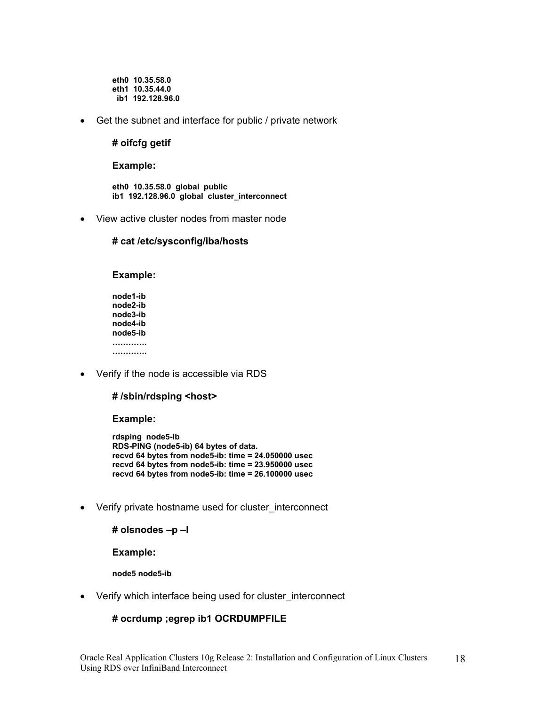**eth0 10.35.58.0 eth1 10.35.44.0 ib1 192.128.96.0**

• Get the subnet and interface for public / private network

#### **# oifcfg getif**

**Example:** 

**eth0 10.35.58.0 global public ib1 192.128.96.0 global cluster\_interconnect** 

• View active cluster nodes from master node

#### **# cat /etc/sysconfig/iba/hosts**

#### **Example:**

**node1-ib node2-ib node3-ib node4-ib node5-ib …………. ………….** 

• Verify if the node is accessible via RDS

#### **# /sbin/rdsping <host>**

**Example:** 

**rdsping node5-ib RDS-PING (node5-ib) 64 bytes of data. recvd 64 bytes from node5-ib: time = 24.050000 usec recvd 64 bytes from node5-ib: time = 23.950000 usec recvd 64 bytes from node5-ib: time = 26.100000 usec** 

• Verify private hostname used for cluster\_interconnect

#### **# olsnodes –p –l**

**Example:** 

**node5 node5-ib** 

• Verify which interface being used for cluster\_interconnect

#### **# ocrdump ;egrep ib1 OCRDUMPFILE**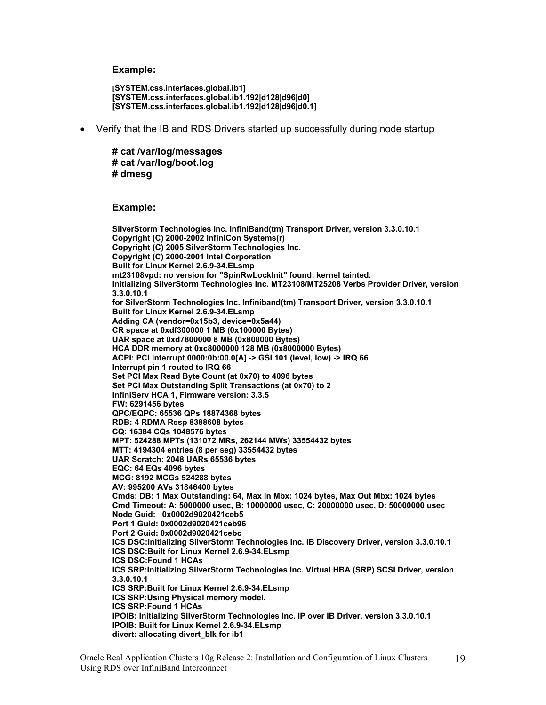#### **Example:**

**[SYSTEM.css.interfaces.global.ib1] [SYSTEM.css.interfaces.global.ib1.192|d128|d96|d0] [SYSTEM.css.interfaces.global.ib1.192|d128|d96|d0.1]** 

• Verify that the IB and RDS Drivers started up successfully during node startup

**# cat /var/log/messages # cat /var/log/boot.log # dmesg** 

#### **Example:**

**SilverStorm Technologies Inc. InfiniBand(tm) Transport Driver, version 3.3.0.10.1 Copyright (C) 2000-2002 InfiniCon Systems(r) Copyright (C) 2005 SilverStorm Technologies Inc. Copyright (C) 2000-2001 Intel Corporation Built for Linux Kernel 2.6.9-34.ELsmp mt23108vpd: no version for "SpinRwLockInit" found: kernel tainted. Initializing SilverStorm Technologies Inc. MT23108/MT25208 Verbs Provider Driver, version 3.3.0.10.1 for SilverStorm Technologies Inc. Infiniband(tm) Transport Driver, version 3.3.0.10.1 Built for Linux Kernel 2.6.9-34.ELsmp Adding CA (vendor=0x15b3, device=0x5a44) CR space at 0xdf300000 1 MB (0x100000 Bytes) UAR space at 0xd7800000 8 MB (0x800000 Bytes) HCA DDR memory at 0xc8000000 128 MB (0x8000000 Bytes) ACPI: PCI interrupt 0000:0b:00.0[A] -> GSI 101 (level, low) -> IRQ 66 Interrupt pin 1 routed to IRQ 66 Set PCI Max Read Byte Count (at 0x70) to 4096 bytes Set PCI Max Outstanding Split Transactions (at 0x70) to 2 InfiniServ HCA 1, Firmware version: 3.3.5 FW: 6291456 bytes QPC/EQPC: 65536 QPs 18874368 bytes RDB: 4 RDMA Resp 8388608 bytes CQ: 16384 CQs 1048576 bytes MPT: 524288 MPTs (131072 MRs, 262144 MWs) 33554432 bytes MTT: 4194304 entries (8 per seg) 33554432 bytes UAR Scratch: 2048 UARs 65536 bytes EQC: 64 EQs 4096 bytes MCG: 8192 MCGs 524288 bytes AV: 995200 AVs 31846400 bytes Cmds: DB: 1 Max Outstanding: 64, Max In Mbx: 1024 bytes, Max Out Mbx: 1024 bytes Cmd Timeout: A: 5000000 usec, B: 10000000 usec, C: 20000000 usec, D: 50000000 usec Node Guid: 0x0002d9020421ceb5 Port 1 Guid: 0x0002d9020421ceb96 Port 2 Guid: 0x0002d9020421cebc ICS DSC:Initializing SilverStorm Technologies Inc. IB Discovery Driver, version 3.3.0.10.1 ICS DSC:Built for Linux Kernel 2.6.9-34.ELsmp ICS DSC:Found 1 HCAs ICS SRP:Initializing SilverStorm Technologies Inc. Virtual HBA (SRP) SCSI Driver, version 3.3.0.10.1 ICS SRP:Built for Linux Kernel 2.6.9-34.ELsmp ICS SRP:Using Physical memory model. ICS SRP:Found 1 HCAs IPOIB: Initializing SilverStorm Technologies Inc. IP over IB Driver, version 3.3.0.10.1 IPOIB: Built for Linux Kernel 2.6.9-34.ELsmp divert: allocating divert\_blk for ib1**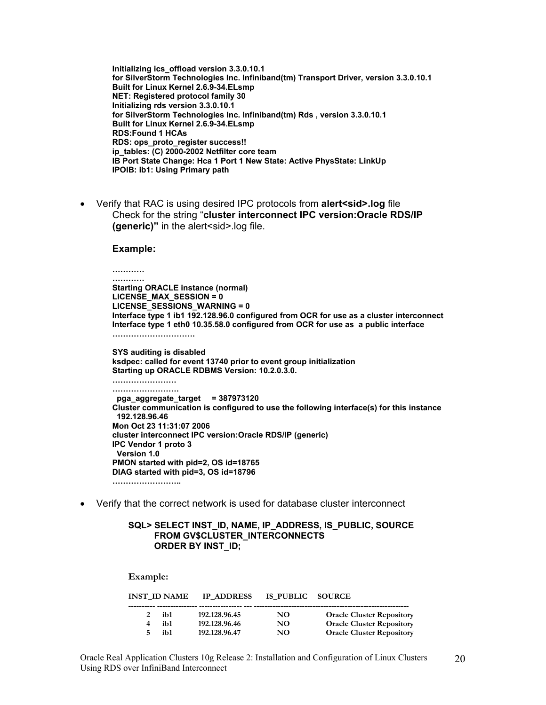**Initializing ics\_offload version 3.3.0.10.1 for SilverStorm Technologies Inc. Infiniband(tm) Transport Driver, version 3.3.0.10.1 Built for Linux Kernel 2.6.9-34.ELsmp NET: Registered protocol family 30 Initializing rds version 3.3.0.10.1 for SilverStorm Technologies Inc. Infiniband(tm) Rds , version 3.3.0.10.1 Built for Linux Kernel 2.6.9-34.ELsmp RDS:Found 1 HCAs RDS: ops\_proto\_register success!! ip\_tables: (C) 2000-2002 Netfilter core team IB Port State Change: Hca 1 Port 1 New State: Active PhysState: LinkUp IPOIB: ib1: Using Primary path** 

• Verify that RAC is using desired IPC protocols from **alert<sid>.log** file Check for the string "**cluster interconnect IPC version:Oracle RDS/IP (generic)**" in the alert<sid>.log file.

#### **Example:**

**Example:** 

**………… ………… Starting ORACLE instance (normal) LICENSE\_MAX\_SESSION = 0 LICENSE\_SESSIONS\_WARNING = 0 Interface type 1 ib1 192.128.96.0 configured from OCR for use as a cluster interconnect Interface type 1 eth0 10.35.58.0 configured from OCR for use as a public interface …………………………. SYS auditing is disabled ksdpec: called for event 13740 prior to event group initialization Starting up ORACLE RDBMS Version: 10.2.0.3.0. …………………… ……………………. pga\_aggregate\_target = 387973120 Cluster communication is configured to use the following interface(s) for this instance 192.128.96.46 Mon Oct 23 11:31:07 2006 cluster interconnect IPC version:Oracle RDS/IP (generic) IPC Vendor 1 proto 3 Version 1.0 PMON started with pid=2, OS id=18765 DIAG started with pid=3, OS id=18796 ……………………..** 

• Verify that the correct network is used for database cluster interconnect

#### **SQL> SELECT INST\_ID, NAME, IP\_ADDRESS, IS\_PUBLIC, SOURCE FROM GV\$CLUSTER\_INTERCONNECTS ORDER BY INST\_ID;**

| вханиріс. |                     |                   |                  |                                  |
|-----------|---------------------|-------------------|------------------|----------------------------------|
|           | <b>INST ID NAME</b> | <b>IP ADDRESS</b> | IS PUBLIC SOURCE |                                  |
|           | ib1                 | 192.128.96.45     | NO.              | <b>Oracle Cluster Repository</b> |
|           | ib1                 | 192.128.96.46     | NO.              | <b>Oracle Cluster Repository</b> |
|           | ih1                 | 192.128.96.47     | NO               | <b>Oracle Cluster Repository</b> |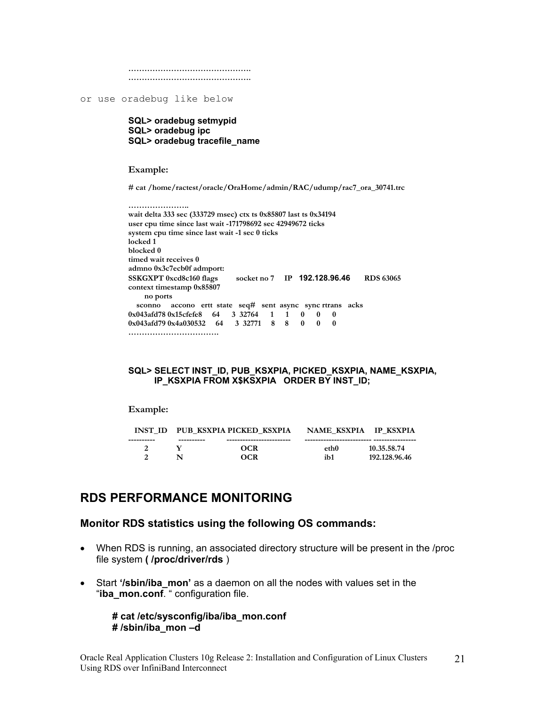**………………………………………. ……………………………………….**

or use oradebug like below

**SQL> oradebug setmypid SQL> oradebug ipc SQL> oradebug tracefile\_name** 

**Example:** 

**# cat /home/ractest/oracle/OraHome/admin/RAC/udump/rac7\_ora\_30741.trc** 

```
………………….. 
wait delta 333 sec (333729 msec) ctx ts 0x85807 last ts 0x34194 
user cpu time since last wait -171798692 sec 42949672 ticks 
system cpu time since last wait -1 sec 0 ticks 
locked 1 
blocked 0 
timed wait receives 0 
admno 0x3c7ecb0f admport: 
SSKGXPT 0xcd8c160 flags socket no 7 IP 192.128.96.46 RDS 63065 
context timestamp 0x85807 
     no ports 
   sconno accono ertt state seq# sent async sync rtrans acks 
0x043afd78 0x15cfefe8 64 3 32764 1 1 0 0 0 
0x043afd79 0x4a030532 64 3 32771 8 8 0 0 0 
…………………………….
```
**SQL> SELECT INST\_ID, PUB\_KSXPIA, PICKED\_KSXPIA, NAME\_KSXPIA, IP\_KSXPIA FROM X\$KSXPIA ORDER BY INST\_ID;** 

#### **Example:**

| <b>INST ID</b> |            | PUB KSXPIA PICKED KSXPIA | NAME KSXPIA | <b>IP KSXPIA</b> |
|----------------|------------|--------------------------|-------------|------------------|
| ----------     | ---------- |                          |             |                  |
|                |            | OCR                      | eth0        | 10.35.58.74      |
|                |            | OCR                      | ib1         | 192.128.96.46    |

# **RDS PERFORMANCE MONITORING**

#### **Monitor RDS statistics using the following OS commands:**

- When RDS is running, an associated directory structure will be present in the /proc file system **( /proc/driver/rds** )
- Start **'/sbin/iba\_mon'** as a daemon on all the nodes with values set in the "**iba\_mon.conf**. " configuration file.

### **# cat /etc/sysconfig/iba/iba\_mon.conf # /sbin/iba\_mon –d**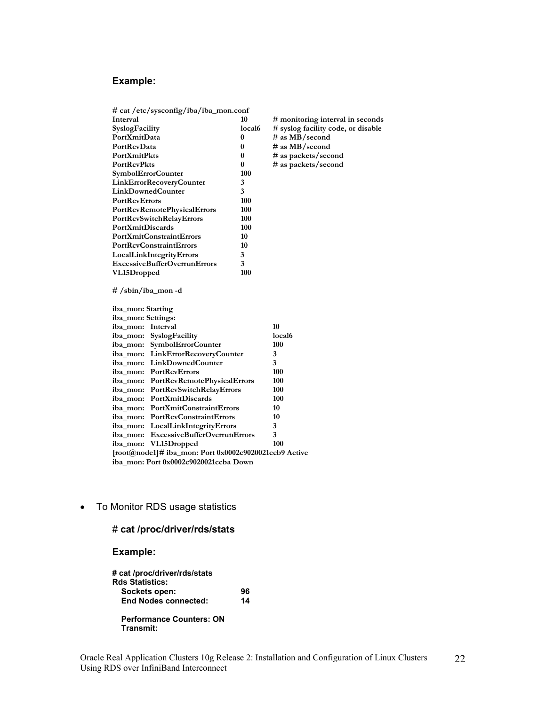# **Example:**

| # cat /etc/sysconfig/iba/iba_mon.conf                       |          |                                    |
|-------------------------------------------------------------|----------|------------------------------------|
| Interval                                                    | 10       | # monitoring interval in seconds   |
| SyslogFacility                                              | local6   | # syslog facility code, or disable |
| PortXmitData                                                | 0        | # as MB/second                     |
| PortRcvData                                                 | 0        | $\#$ as MB/second                  |
| <b>PortXmitPkts</b>                                         | 0        | # as packets/second                |
| <b>PortRcvPkts</b>                                          | $\bf{0}$ | # as packets/second                |
| SymbolErrorCounter                                          | 100      |                                    |
| <b>LinkErrorRecoveryCounter</b>                             | 3        |                                    |
| <b>LinkDownedCounter</b>                                    | 3        |                                    |
| <b>PortRcvErrors</b>                                        | 100      |                                    |
| PortRcvRemotePhysicalErrors                                 | 100      |                                    |
| PortRcvSwitchRelayErrors                                    | 100      |                                    |
| <b>PortXmitDiscards</b>                                     | 100      |                                    |
| <b>PortXmitConstraintErrors</b>                             | 10       |                                    |
| <b>PortRcvConstraintErrors</b>                              | 10       |                                    |
| LocalLinkIntegrityErrors                                    | 3        |                                    |
| <b>ExcessiveBufferOverrunErrors</b>                         | 3        |                                    |
| 100<br>VL15Dropped                                          |          |                                    |
| #/sbin/iba_mon-d<br>iba_mon: Starting<br>iba_mon: Settings: |          |                                    |
| iba mon: Interval                                           |          | 10                                 |
| iba_mon: SyslogFacility                                     |          | local <sub>6</sub>                 |
| iba_mon: SymbolErrorCounter                                 |          | 100                                |
| iba_mon: LinkErrorRecoveryCounter                           |          | 3                                  |
| LinkDownedCounter<br>iba mon:                               |          | 3                                  |
| PortRcyErrors<br>iba_mon:                                   |          | 100                                |
| PortRcvRemotePhysicalErrors<br>iba_mon:                     |          | 100                                |
| PortRcvSwitchRelayErrors<br>iba_mon:                        |          | 100                                |
| PortXmitDiscards<br>iba mon:                                |          | 100                                |
| PortXmitConstraintErrors<br>iba mon:                        |          | 10                                 |
| <b>PortRcvConstraintErrors</b><br>iba mon:                  |          | 10                                 |
| LocalLinkIntegrityErrors<br>iba mon:                        |          | 3                                  |
| <b>ExcessiveBufferOverrunErrors</b><br>iba mon:             |          | 3                                  |
| VL15Dropped<br>iba mon:                                     |          | 100                                |
| [root@node1]# iba_mon: Port 0x0002c9020021ccb9 Active       |          |                                    |
| iba_mon: Port 0x0002c9020021ccba Down                       |          |                                    |

• To Monitor RDS usage statistics

## # **cat /proc/driver/rds/stats**

| # cat /proc/driver/rds/stats                 |    |
|----------------------------------------------|----|
| <b>Rds Statistics:</b>                       |    |
| Sockets open:                                | 96 |
| <b>End Nodes connected:</b>                  | 14 |
| <b>Performance Counters: ON</b><br>Transmit: |    |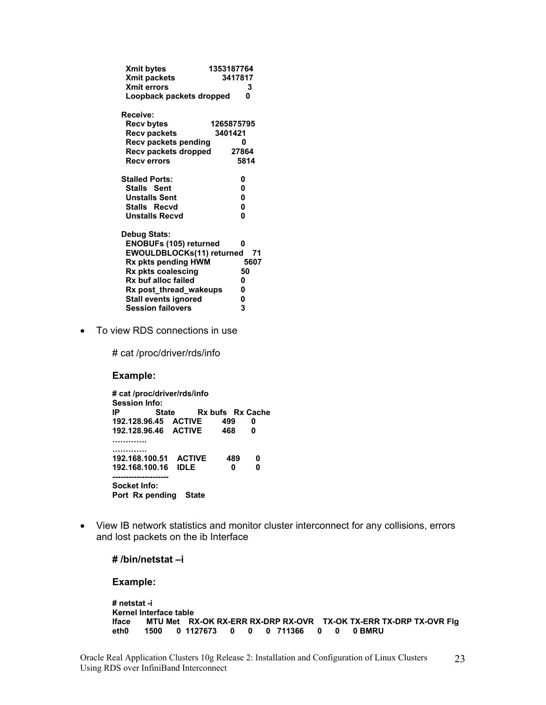| <b>Xmit bytes</b>             | 1353187764 |         |
|-------------------------------|------------|---------|
| Xmit packets                  |            | 3417817 |
| <b>Xmit errors</b>            |            | 3       |
| Loopback packets dropped      |            | U       |
| Receive:                      |            |         |
| <b>Recv bytes</b>             | 1265875795 |         |
| <b>Recv packets</b>           | 3401421    |         |
| Recv packets pending          |            | n       |
| Recv packets dropped          |            | 27864   |
| <b>Recverrors</b>             |            | 5814    |
| <b>Stalled Ports:</b>         |            | 0       |
| Stalls Sent                   |            | 0       |
| <b>Unstalls Sent</b>          |            | 0       |
| Stalls Recvd                  |            | 0       |
| <b>Unstalls Recyd</b>         |            | O       |
| Debug Stats:                  |            |         |
| <b>ENOBUFs (105) returned</b> |            | 0       |
| EWOULDBLOCKs(11) returned     |            | 71      |
| Rx pkts pending HWM           |            | 5607    |
| Rx pkts coalescing            |            | 50      |
| Rx buf alloc failed           |            | 0       |
| Rx post_thread_wakeups        |            | 0       |
| <b>Stall events ignored</b>   |            | 0       |
| <b>Session failovers</b>      |            | 3       |
|                               |            |         |

• To view RDS connections in use

# cat /proc/driver/rds/info

**Example:** 

**# cat /proc/driver/rds/info Session Info: IP State** Rx bufs Rx Cache **192.128.96.45 ACTIVE 499 0 192.128.96.46 ACTIVE …………. …………. 192.168.100.51 ACTIVE 489 0 192.168.100.16 IDLE 0 0 --------------------- Socket Info: Port Rx pending State**

• View IB network statistics and monitor cluster interconnect for any collisions, errors and lost packets on the ib Interface

**# /bin/netstat –i**

```
# netstat -i 
Kernel Interface table 
Iface MTU Met RX-OK RX-ERR RX-DRP RX-OVR TX-OK TX-ERR TX-DRP TX-OVR Flg 
       eth0 1500 0 1127673 0 0 0 711366 0 0 0 BMRU
```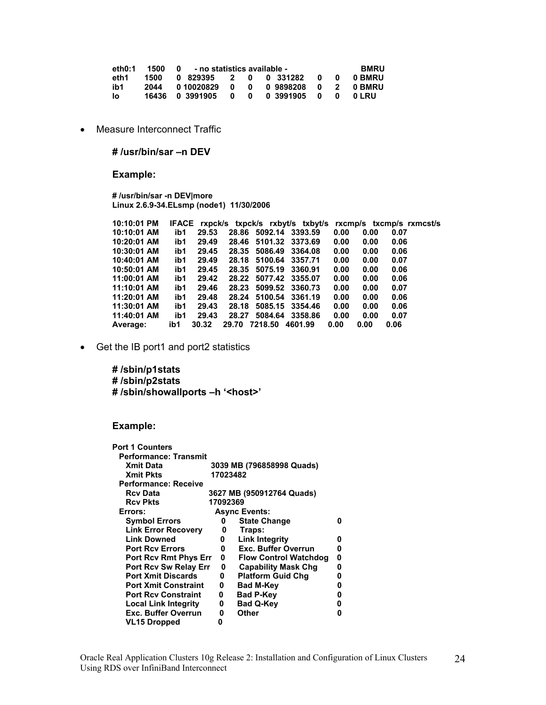| eth0:1 | 1500 | - no statistics available -<br>$\mathbf{0}$ |     |     |            |                |     | <b>BMRU</b> |
|--------|------|---------------------------------------------|-----|-----|------------|----------------|-----|-------------|
| eth1   | 1500 | 0 829395 2                                  |     |     | 0 0 331282 | n              | - 0 | 0 BMRU      |
| ib1    | 2044 | 0 10020829                                  | 0   | - 0 | 09898208   | $\mathbf{0}$ 2 |     | 0 BMRU      |
| lo.    |      | 16436 0 3991905                             | - 0 | 0   | 0 3991905  | - 0            | n   | 0 I RU      |

• Measure Interconnect Traffic

**# /usr/bin/sar –n DEV** 

**Example:** 

**# /usr/bin/sar -n DEV|more Linux 2.6.9-34.ELsmp (node1) 11/30/2006** 

| 10:10:01 PM |     |       |       |               | IFACE rxpck/s txpck/s rxbyt/s txbyt/s rxcmp/s txcmp/s rxmcst/s |      |      |      |  |
|-------------|-----|-------|-------|---------------|----------------------------------------------------------------|------|------|------|--|
| 10:10:01 AM | ib1 | 29.53 |       |               | 28.86 5092.14 3393.59                                          | 0.00 | 0.00 | 0.07 |  |
| 10:20:01 AM | ib1 | 29.49 |       |               | 28.46 5101.32 3373.69                                          | 0.00 | 0.00 | 0.06 |  |
| 10:30:01 AM | ib1 | 29.45 |       |               | 28.35 5086.49 3364.08                                          | 0.00 | 0.00 | 0.06 |  |
| 10:40:01 AM | ib1 | 29.49 |       |               | 28.18 5100.64 3357.71                                          | 0.00 | 0.00 | 0.07 |  |
| 10:50:01 AM | ib1 | 29.45 |       |               | 28.35 5075.19 3360.91                                          | 0.00 | 0.00 | 0.06 |  |
| 11:00:01 AM | ib1 | 29.42 |       |               | 28.22 5077.42 3355.07                                          | 0.00 | 0.00 | 0.06 |  |
| 11:10:01 AM | ib1 | 29.46 |       |               | 28.23 5099.52 3360.73                                          | 0.00 | 0.00 | 0.07 |  |
| 11:20:01 AM | ib1 | 29.48 | 28.24 |               | 5100.54 3361.19                                                | 0.00 | 0.00 | 0.06 |  |
| 11:30:01 AM | ib1 | 29.43 |       |               | 28.18 5085.15 3354.46                                          | 0.00 | 0.00 | 0.06 |  |
| 11:40:01 AM | ib1 | 29.43 |       |               | 28.27 5084.64 3358.86                                          | 0.00 | 0.00 | 0.07 |  |
| Average:    | ib1 | 30.32 |       | 29.70 7218.50 | 4601.99                                                        | 0.00 | 0.00 | 0.06 |  |

• Get the IB port1 and port2 statistics

**# /sbin/p1stats # /sbin/p2stats # /sbin/showallports –h '<host>'** 

| <b>Port 1 Counters</b>       |          |                              |   |
|------------------------------|----------|------------------------------|---|
| <b>Performance: Transmit</b> |          |                              |   |
| <b>Xmit Data</b>             |          | 3039 MB (796858998 Quads)    |   |
| <b>Xmit Pkts</b>             | 17023482 |                              |   |
| Performance: Receive         |          |                              |   |
| <b>Rcv Data</b>              |          | 3627 MB (950912764 Quads)    |   |
| <b>Rcv Pkts</b>              | 17092369 |                              |   |
| Errors:                      |          | <b>Async Events:</b>         |   |
| <b>Symbol Errors</b>         | 0        | <b>State Change</b>          | n |
| <b>Link Error Recovery</b>   | 0        | Traps:                       |   |
| <b>Link Downed</b>           | 0        | <b>Link Integrity</b>        | n |
| <b>Port Rcy Errors</b>       | 0        | <b>Exc. Buffer Overrun</b>   | n |
| <b>Port Rcv Rmt Phys Err</b> | 0        | <b>Flow Control Watchdog</b> | Ω |
| <b>Port Rcv Sw Relay Err</b> | 0        | <b>Capability Mask Chg</b>   | Ω |
| <b>Port Xmit Discards</b>    | 0        | <b>Platform Guid Chg</b>     | n |
| <b>Port Xmit Constraint</b>  | 0        | <b>Bad M-Key</b>             | o |
| <b>Port Rcv Constraint</b>   | 0        | <b>Bad P-Key</b>             | o |
| <b>Local Link Integrity</b>  | 0        | <b>Bad Q-Key</b>             | Ω |
| <b>Exc. Buffer Overrun</b>   | 0        | Other                        | ŋ |
| <b>VL15 Dropped</b>          | 0        |                              |   |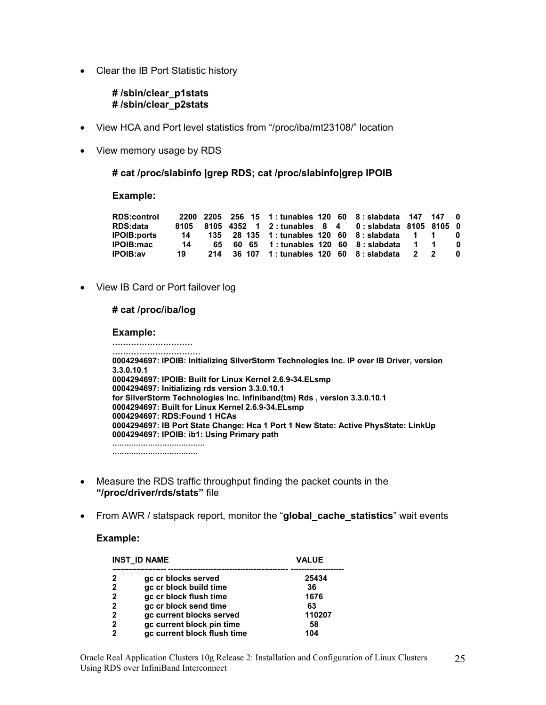• Clear the IB Port Statistic history

#### **# /sbin/clear\_p1stats # /sbin/clear\_p2stats**

- View HCA and Port level statistics from "/proc/iba/mt23108/" location
- View memory usage by RDS

#### **# cat /proc/slabinfo |grep RDS; cat /proc/slabinfo|grep IPOIB**

#### **Example:**

| <b>RDS:control</b> |    |  |                                           |  | 2200 2205 256 15 1: tunables 120 60 8: slabdata 147 147 0          |          |   |  |
|--------------------|----|--|-------------------------------------------|--|--------------------------------------------------------------------|----------|---|--|
| RDS:data           |    |  |                                           |  | 8105  8105  4352  1  2: tunables  8  4  0: slabdata  8105  8105  0 |          |   |  |
| <b>IPOIB:ports</b> | 14 |  |                                           |  | 135 28 135 1: tunables 120 60 8: slabdata 1                        |          |   |  |
| <b>IPOIB:mac</b>   | 14 |  |                                           |  | 65 60 65 1: tunables 120 60 8: slabdata 1                          |          |   |  |
| <b>IPOIB:av</b>    | 19 |  | 214 36 107 1: tunables 120 60 8: slabdata |  |                                                                    | $\sim$ 2 | 2 |  |

• View IB Card or Port failover log

#### **# cat /proc/iba/log**

#### **Example:**

**………………………… …………………………… 0004294697: IPOIB: Initializing SilverStorm Technologies Inc. IP over IB Driver, version 3.3.0.10.1 0004294697: IPOIB: Built for Linux Kernel 2.6.9-34.ELsmp 0004294697: Initializing rds version 3.3.0.10.1 for SilverStorm Technologies Inc. Infiniband(tm) Rds , version 3.3.0.10.1 0004294697: Built for Linux Kernel 2.6.9-34.ELsmp 0004294697: RDS:Found 1 HCAs 0004294697: IB Port State Change: Hca 1 Port 1 New State: Active PhysState: LinkUp 0004294697: IPOIB: ib1: Using Primary path ………………………………… ………………………………**

- Measure the RDS traffic throughput finding the packet counts in the **"/proc/driver/rds/stats"** file
- From AWR / statspack report, monitor the "**global\_cache\_statistics**" wait events

|   | <b>INST ID NAME</b>         | <b>VALUE</b> |  |  |
|---|-----------------------------|--------------|--|--|
| 2 | gc cr blocks served         | 25434        |  |  |
| 2 | gc cr block build time      | 36           |  |  |
| 2 | gc cr block flush time      | 1676         |  |  |
| 2 | gc cr block send time       | 63           |  |  |
| 2 | gc current blocks served    | 110207       |  |  |
| 2 | gc current block pin time   | 58           |  |  |
| 2 | gc current block flush time | 104          |  |  |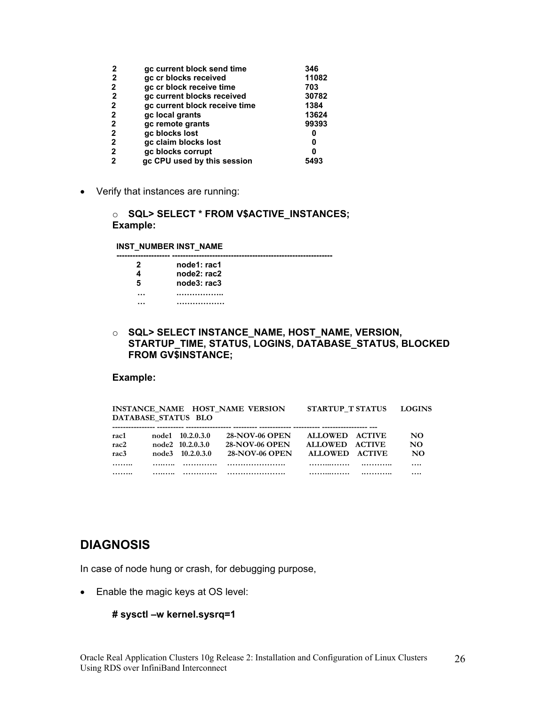| 2            | gc current block send time    | 346   |
|--------------|-------------------------------|-------|
| 2            | gc cr blocks received         | 11082 |
| 2            | gc cr block receive time      | 703   |
| 2            | gc current blocks received    | 30782 |
| 2            | gc current block receive time | 1384  |
| 2            | gc local grants               | 13624 |
| 2            | gc remote grants              | 99393 |
| 2            | gc blocks lost                | 0     |
| 2            | gc claim blocks lost          | 0     |
| $\mathbf{2}$ | gc blocks corrupt             |       |
| 2            | gc CPU used by this session   | 5493  |

• Verify that instances are running:

o **SQL> SELECT \* FROM V\$ACTIVE\_INSTANCES; Example:** 

**INST\_NUMBER INST\_NAME -------------------- ------------------------------------------------------------** 

| 2<br>4 | node1: rac1<br>node2: rac2 |
|--------|----------------------------|
| 5      | node3: rac3                |
|        |                            |

o **SQL> SELECT INSTANCE\_NAME, HOST\_NAME, VERSION, STARTUP\_TIME, STATUS, LOGINS, DATABASE\_STATUS, BLOCKED FROM GV\$INSTANCE;** 

### **Example:**

| <b>STARTUP T STATUS</b><br>INSTANCE NAME HOST NAME VERSION<br><b>LOGINS</b> |       |                  |                       |                |               |          |  |  |  |
|-----------------------------------------------------------------------------|-------|------------------|-----------------------|----------------|---------------|----------|--|--|--|
| DATABASE STATUS BLO                                                         |       |                  |                       |                |               |          |  |  |  |
|                                                                             |       |                  |                       |                |               |          |  |  |  |
| rac1                                                                        |       | node1 10.2.0.3.0 | <b>28-NOV-06 OPEN</b> | <b>ALLOWED</b> | <b>ACTIVE</b> | NO.      |  |  |  |
| $rac{2}{2}$                                                                 |       | node2 10.2.0.3.0 | <b>28-NOV-06 OPEN</b> | <b>ALLOWED</b> | <b>ACTIVE</b> | NO.      |  |  |  |
| rac <sub>3</sub>                                                            | node3 | 10.2.0.3.0       | <b>28-NOV-06 OPEN</b> | <b>ALLOWED</b> | <b>ACTIVE</b> | NO.      |  |  |  |
|                                                                             |       | .                |                       |                |               | $\cdots$ |  |  |  |
|                                                                             |       | .                |                       | .              |               |          |  |  |  |

# **DIAGNOSIS**

In case of node hung or crash, for debugging purpose,

• Enable the magic keys at OS level:

```
# sysctl –w kernel.sysrq=1
```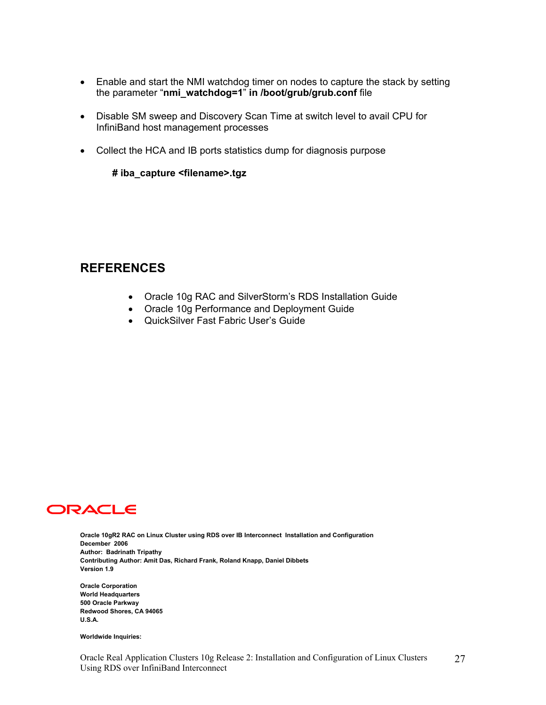- Enable and start the NMI watchdog timer on nodes to capture the stack by setting the parameter "**nmi\_watchdog=1**" **in /boot/grub/grub.conf** file
- Disable SM sweep and Discovery Scan Time at switch level to avail CPU for InfiniBand host management processes
- Collect the HCA and IB ports statistics dump for diagnosis purpose

#### **# iba\_capture <filename>.tgz**

# **REFERENCES**

- Oracle 10g RAC and SilverStorm's RDS Installation Guide
- Oracle 10g Performance and Deployment Guide
- QuickSilver Fast Fabric User's Guide



**Oracle 10gR2 RAC on Linux Cluster using RDS over IB Interconnect Installation and Configuration December 2006 Author: Badrinath Tripathy Contributing Author: Amit Das, Richard Frank, Roland Knapp, Daniel Dibbets Version 1.9** 

**Oracle Corporation World Headquarters 500 Oracle Parkway Redwood Shores, CA 94065 U.S.A.** 

**Worldwide Inquiries:**